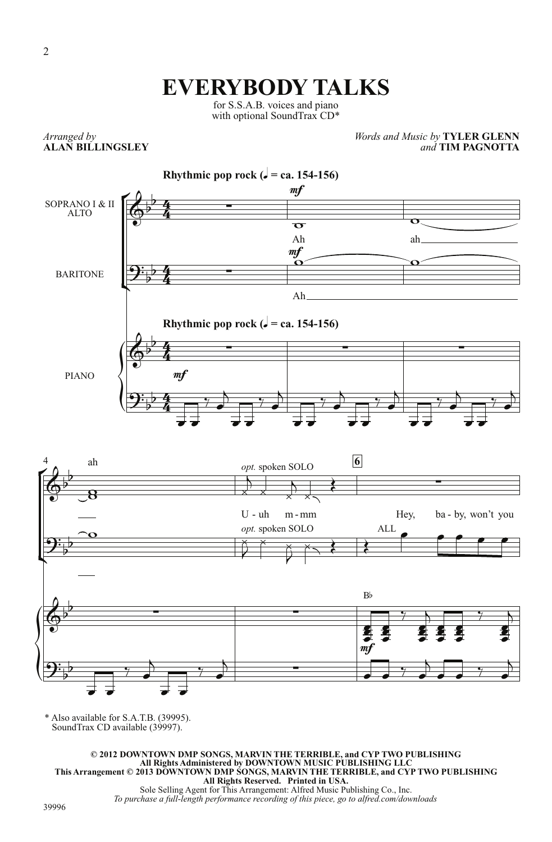## **EVERYBODY TALKS**

for S.S.A.B. voices and piano with optional SoundTrax CD\*

*Arranged by* **ALAN BILLINGSLEY** *Words and Music by* **TYLER GLENN** *and* **TIM PAGNOTTA**



\* Also available for S.A.T.B. (39995). SoundTrax CD available (39997).

**© 2012 DOWNTOWN DMP SONGS, MARVIN THE TERRIBLE, and CYP TWO PUBLISHING All Rights Administered by DOWNTOWN MUSIC PUBLISHING LLC This Arrangement © 2013 DOWNTOWN DMP SONGS, MARVIN THE TERRIBLE, and CYP TWO PUBLISHING All Rights Reserved. Printed in USA.** Sole Selling Agent for This Arrangement: Alfred Music Publishing Co., Inc.

*To purchase a full-length performance recording of this piece, go to alfred.com/downloads*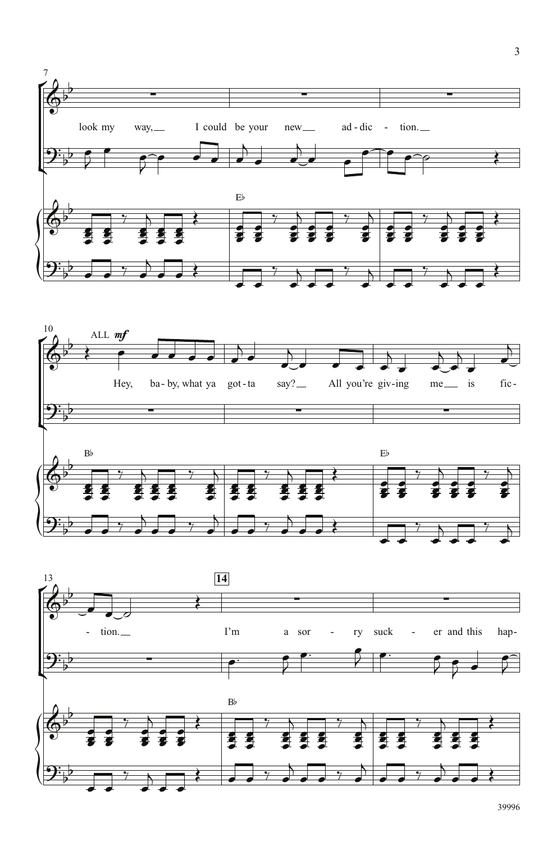



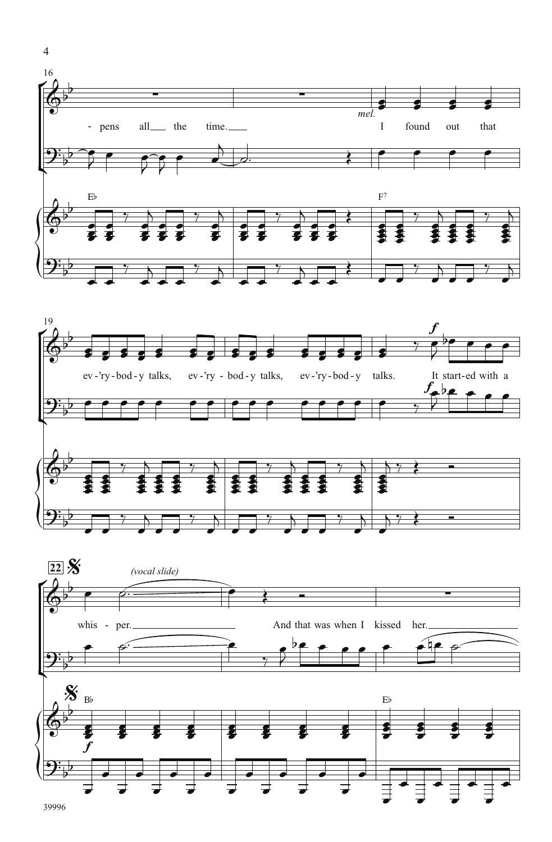





39996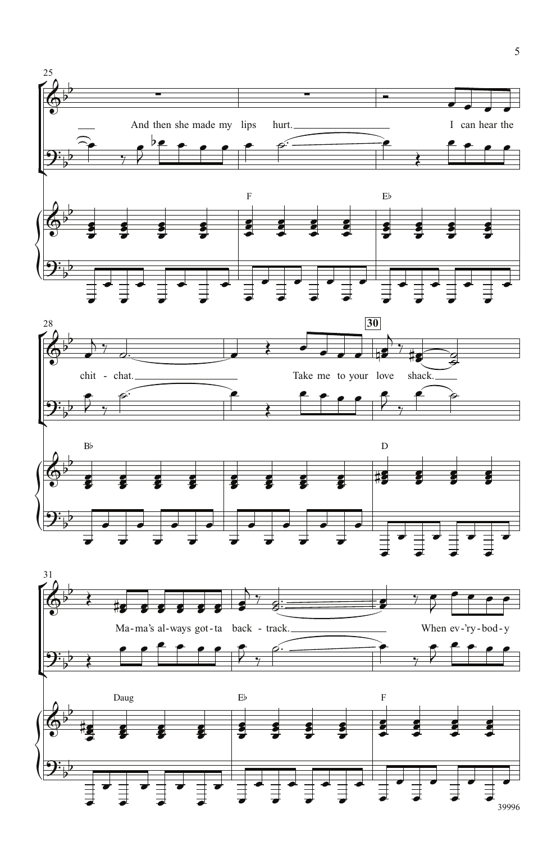





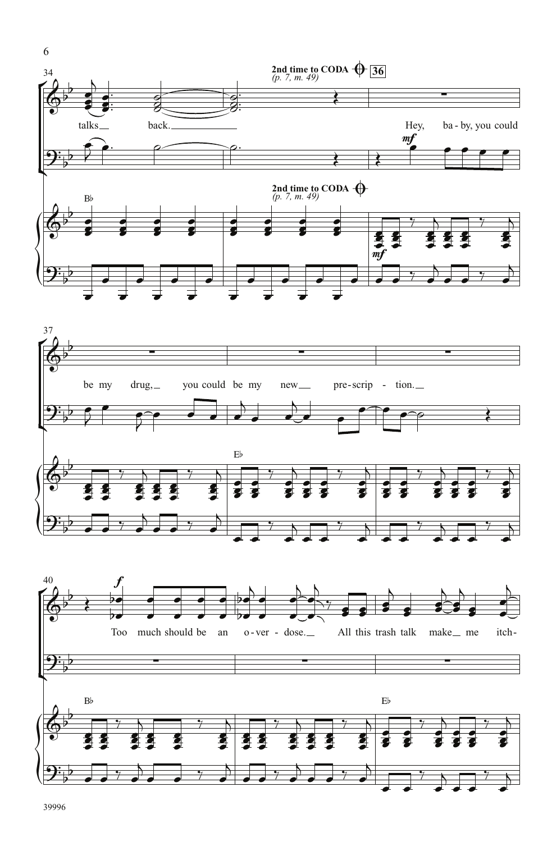





39996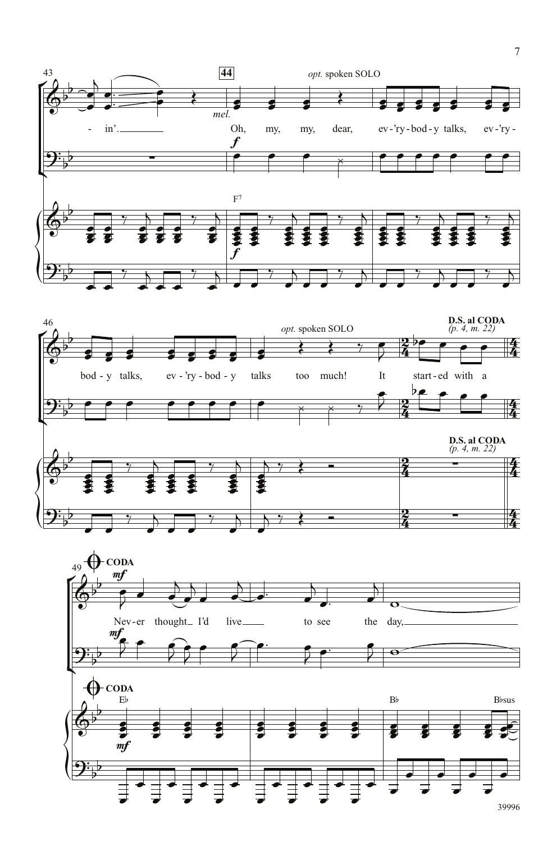



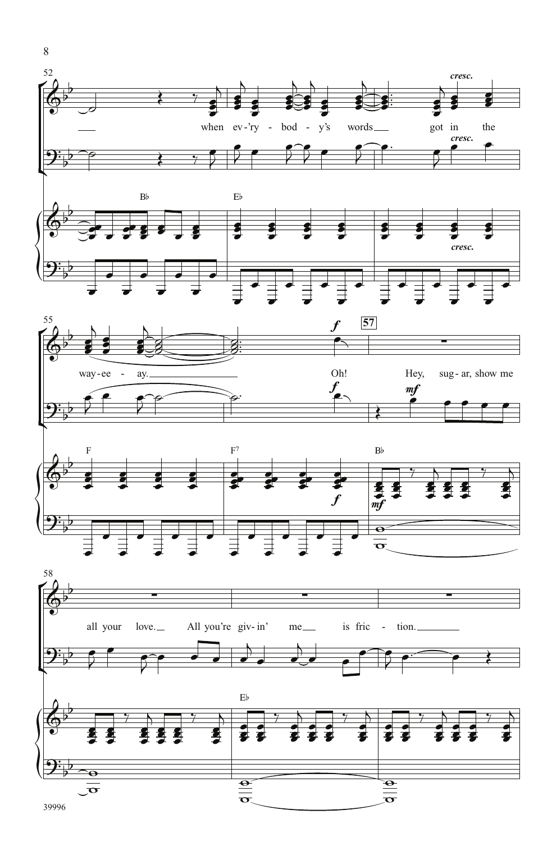









 $\,8\,$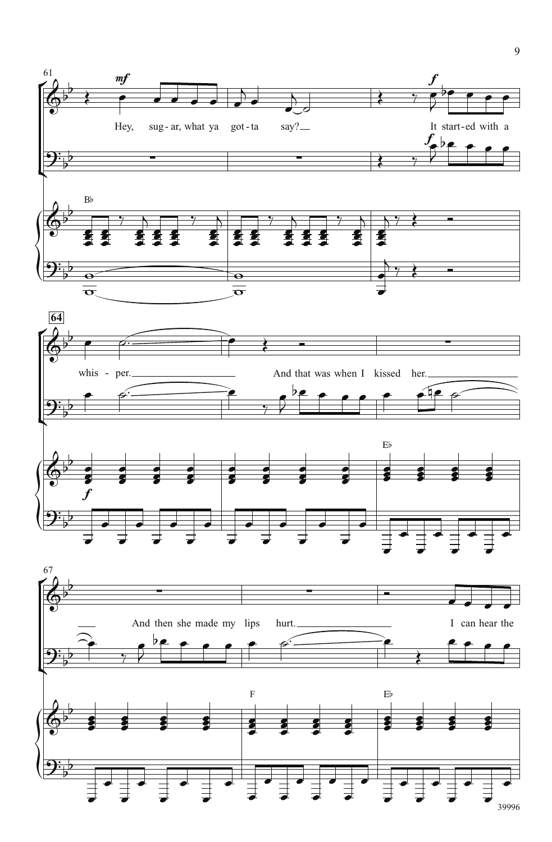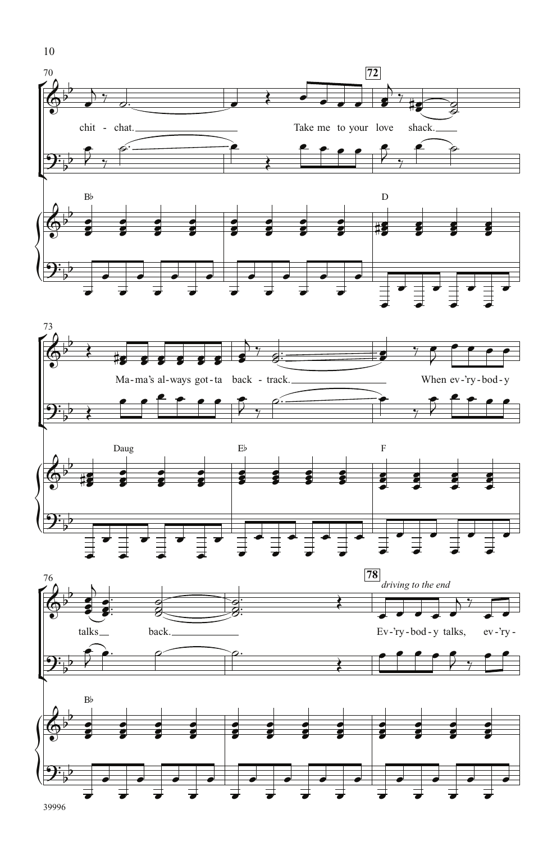



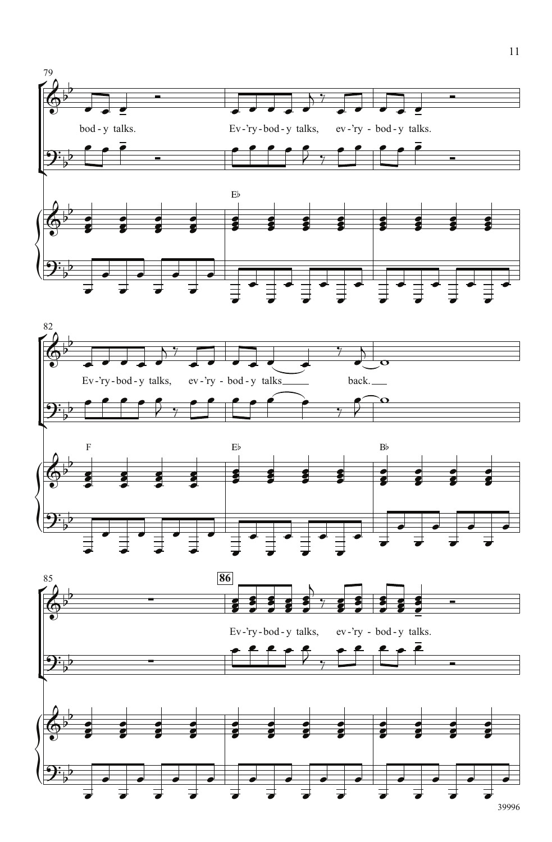